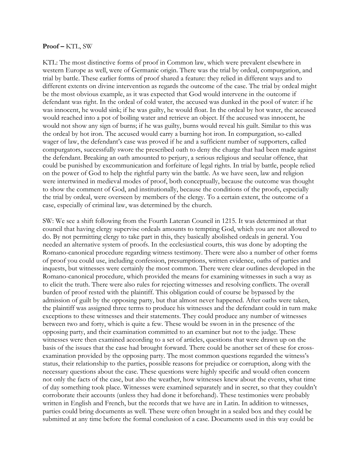## **Proof –** KTL, SW

KTL: The most distinctive forms of proof in Common law, which were prevalent elsewhere in western Europe as well, were of Germanic origin. There was the trial by ordeal, compurgation, and trial by battle. These earlier forms of proof shared a feature: they relied in different ways and to different extents on divine intervention as regards the outcome of the case. The trial by ordeal might be the most obvious example, as it was expected that God would intervene in the outcome if defendant was right. In the ordeal of cold water, the accused was dunked in the pool of water: if he was innocent, he would sink; if he was guilty, he would float. In the ordeal by hot water, the accused would reached into a pot of boiling water and retrieve an object. If the accused was innocent, he would not show any sign of burns; if he was guilty, burns would reveal his guilt. Similar to this was the ordeal by hot iron. The accused would carry a burning hot iron. In compurgation, so-called wager of law, the defendant's case was proved if he and a sufficient number of supporters, called compurgators, successfully swore the prescribed oath to deny the charge that had been made against the defendant. Breaking an oath amounted to perjury, a serious religious and secular offence, that could be punished by excommunication and forfeiture of legal rights. In trial by battle, people relied on the power of God to help the rightful party win the battle. As we have seen, law and religion were intertwined in medieval modes of proof, both conceptually, because the outcome was thought to show the comment of God, and institutionally, because the conditions of the proofs, especially the trial by ordeal, were overseen by members of the clergy. To a certain extent, the outcome of a case, especially of criminal law, was determined by the church.

SW: We see a shift following from the Fourth Lateran Council in 1215. It was determined at that council that having clergy supervise ordeals amounts to tempting God, which you are not allowed to do. By not permitting clergy to take part in this, they basically abolished ordeals in general. You needed an alternative system of proofs. In the ecclesiastical courts, this was done by adopting the Romano-canonical procedure regarding witness testimony. There were also a number of other forms of proof you could use, including confession, presumptions, written evidence, oaths of parties and inquests, but witnesses were certainly the most common. There were clear outlines developed in the Romano-canonical procedure, which provided the means for examining witnesses in such a way as to elicit the truth. There were also rules for rejecting witnesses and resolving conflicts. The overall burden of proof rested with the plaintiff. This obligation could of course be bypassed by the admission of guilt by the opposing party, but that almost never happened. After oaths were taken, the plaintiff was assigned three terms to produce his witnesses and the defendant could in turn make exceptions to these witnesses and their statements. They could produce any number of witnesses between two and forty, which is quite a few. These would be sworn in in the presence of the opposing party, and their examination committed to an examiner but not to the judge. These witnesses were then examined according to a set of articles, questions that were drawn up on the basis of the issues that the case had brought forward. There could be another set of these for crossexamination provided by the opposing party. The most common questions regarded the witness's status, their relationship to the parties, possible reasons for prejudice or corruption, along with the necessary questions about the case. These questions were highly specific and would often concern not only the facts of the case, but also the weather, how witnesses knew about the events, what time of day something took place. Witnesses were examined separately and in secret, so that they couldn't corroborate their accounts (unless they had done it beforehand). These testimonies were probably written in English and French, but the records that we have are in Latin. In addition to witnesses, parties could bring documents as well. These were often brought in a sealed box and they could be submitted at any time before the formal conclusion of a case. Documents used in this way could be